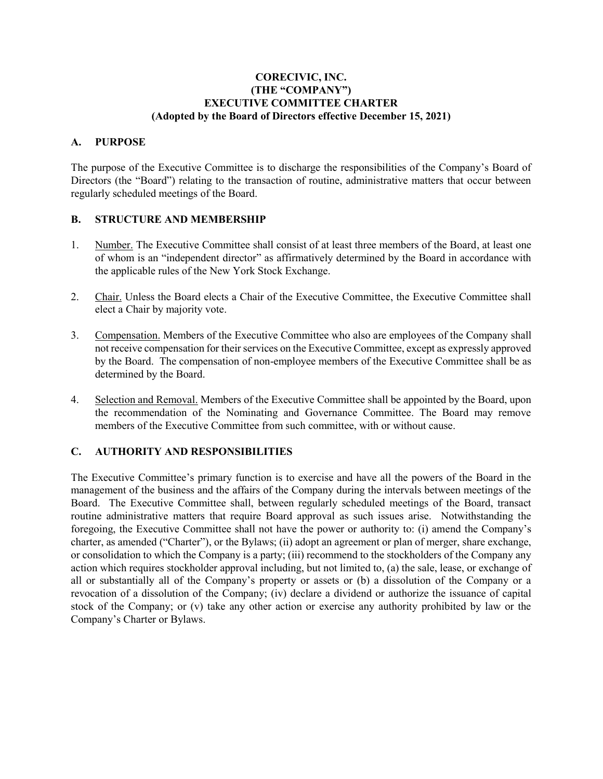## **CORECIVIC, INC. (THE "COMPANY") EXECUTIVE COMMITTEE CHARTER (Adopted by the Board of Directors effective December 15, 2021)**

## **A. PURPOSE**

The purpose of the Executive Committee is to discharge the responsibilities of the Company's Board of Directors (the "Board") relating to the transaction of routine, administrative matters that occur between regularly scheduled meetings of the Board.

## **B. STRUCTURE AND MEMBERSHIP**

- 1. Number. The Executive Committee shall consist of at least three members of the Board, at least one of whom is an "independent director" as affirmatively determined by the Board in accordance with the applicable rules of the New York Stock Exchange.
- 2. Chair. Unless the Board elects a Chair of the Executive Committee, the Executive Committee shall elect a Chair by majority vote.
- 3. Compensation. Members of the Executive Committee who also are employees of the Company shall not receive compensation for their services on the Executive Committee, except as expressly approved by the Board. The compensation of non-employee members of the Executive Committee shall be as determined by the Board.
- 4. Selection and Removal. Members of the Executive Committee shall be appointed by the Board, upon the recommendation of the Nominating and Governance Committee. The Board may remove members of the Executive Committee from such committee, with or without cause.

## **C. AUTHORITY AND RESPONSIBILITIES**

The Executive Committee's primary function is to exercise and have all the powers of the Board in the management of the business and the affairs of the Company during the intervals between meetings of the Board. The Executive Committee shall, between regularly scheduled meetings of the Board, transact routine administrative matters that require Board approval as such issues arise. Notwithstanding the foregoing, the Executive Committee shall not have the power or authority to: (i) amend the Company's charter, as amended ("Charter"), or the Bylaws; (ii) adopt an agreement or plan of merger, share exchange, or consolidation to which the Company is a party; (iii) recommend to the stockholders of the Company any action which requires stockholder approval including, but not limited to, (a) the sale, lease, or exchange of all or substantially all of the Company's property or assets or (b) a dissolution of the Company or a revocation of a dissolution of the Company; (iv) declare a dividend or authorize the issuance of capital stock of the Company; or (v) take any other action or exercise any authority prohibited by law or the Company's Charter or Bylaws.